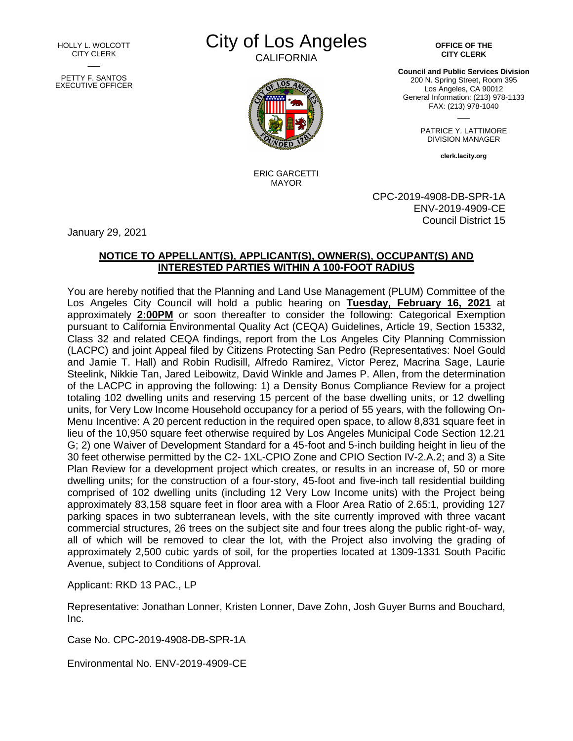HOLLY L. WOLCOTT CITY CLERK  $\overline{\phantom{a}}$ PETTY F. SANTOS EXECUTIVE OFFICER City of Los Angeles

**CALIFORNIA** 



ERIC GARCETTI MAYOR

**OFFICE OF THE CITY CLERK**

**Council and Public Services Division** 200 N. Spring Street, Room 395 Los Angeles, CA 90012 General Information: (213) 978-1133 FAX: (213) 978-1040

> PATRICE Y. LATTIMORE DIVISION MANAGER

 $\overline{\phantom{a}}$ 

**clerk.lacity.org**

CPC-2019-4908-DB-SPR-1A ENV-2019-4909-CE Council District 15

January 29, 2021

## **NOTICE TO APPELLANT(S), APPLICANT(S), OWNER(S), OCCUPANT(S) AND INTERESTED PARTIES WITHIN A 100-FOOT RADIUS**

You are hereby notified that the Planning and Land Use Management (PLUM) Committee of the Los Angeles City Council will hold a public hearing on **Tuesday, February 16, 2021** at approximately **2:00PM** or soon thereafter to consider the following: Categorical Exemption pursuant to California Environmental Quality Act (CEQA) Guidelines, Article 19, Section 15332, Class 32 and related CEQA findings, report from the Los Angeles City Planning Commission (LACPC) and joint Appeal filed by Citizens Protecting San Pedro (Representatives: Noel Gould and Jamie T. Hall) and Robin Rudisill, Alfredo Ramirez, Victor Perez, Macrina Sage, Laurie Steelink, Nikkie Tan, Jared Leibowitz, David Winkle and James P. Allen, from the determination of the LACPC in approving the following: 1) a Density Bonus Compliance Review for a project totaling 102 dwelling units and reserving 15 percent of the base dwelling units, or 12 dwelling units, for Very Low Income Household occupancy for a period of 55 years, with the following On-Menu Incentive: A 20 percent reduction in the required open space, to allow 8,831 square feet in lieu of the 10,950 square feet otherwise required by Los Angeles Municipal Code Section 12.21 G; 2) one Waiver of Development Standard for a 45-foot and 5-inch building height in lieu of the 30 feet otherwise permitted by the C2- 1XL-CPIO Zone and CPIO Section IV-2.A.2; and 3) a Site Plan Review for a development project which creates, or results in an increase of, 50 or more dwelling units; for the construction of a four-story, 45-foot and five-inch tall residential building comprised of 102 dwelling units (including 12 Very Low Income units) with the Project being approximately 83,158 square feet in floor area with a Floor Area Ratio of 2.65:1, providing 127 parking spaces in two subterranean levels, with the site currently improved with three vacant commercial structures, 26 trees on the subject site and four trees along the public right-of- way, all of which will be removed to clear the lot, with the Project also involving the grading of approximately 2,500 cubic yards of soil, for the properties located at 1309-1331 South Pacific Avenue, subject to Conditions of Approval.

Applicant: RKD 13 PAC., LP

Representative: Jonathan Lonner, Kristen Lonner, Dave Zohn, Josh Guyer Burns and Bouchard, Inc.

Case No. CPC-2019-4908-DB-SPR-1A

Environmental No. ENV-2019-4909-CE